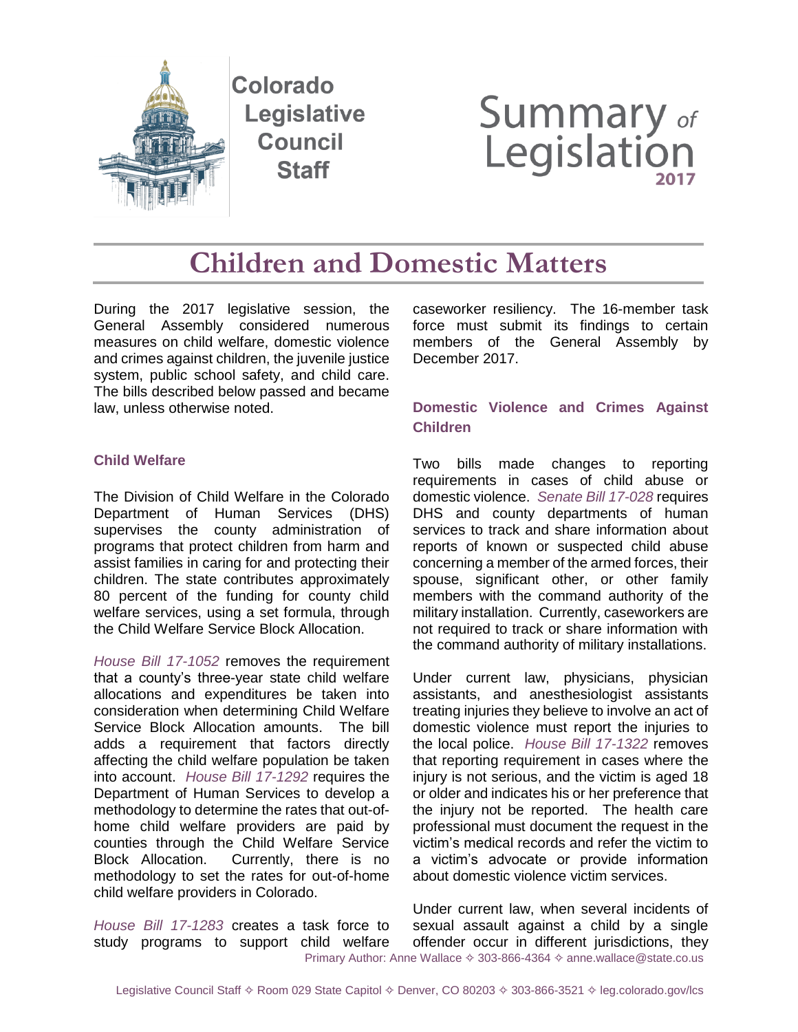

# **Summary of**<br>Legislation

**Children and Domestic Matters**

During the 2017 legislative session, the General Assembly considered numerous measures on child welfare, domestic violence and crimes against children, the juvenile justice system, public school safety, and child care. The bills described below passed and became law, unless otherwise noted.

### **Child Welfare**

The Division of Child Welfare in the Colorado Department of Human Services (DHS) supervises the county administration of programs that protect children from harm and assist families in caring for and protecting their children. The state contributes approximately 80 percent of the funding for county child welfare services, using a set formula, through the Child Welfare Service Block Allocation.

*[House Bill](http://leg.colorado.gov/bills/hb17-1052) 17-1052* removes the requirement that a county's three-year state child welfare allocations and expenditures be taken into consideration when determining Child Welfare Service Block Allocation amounts. The bill adds a requirement that factors directly affecting the child welfare population be taken into account. *[House Bill](http://leg.colorado.gov/bills/hb17-1292) 17-1292* requires the Department of Human Services to develop a methodology to determine the rates that out-ofhome child welfare providers are paid by counties through the Child Welfare Service Block Allocation. Currently, there is no methodology to set the rates for out-of-home child welfare providers in Colorado.

*[House Bill](http://leg.colorado.gov/bills/hb17-1283) 17-1283* creates a task force to study programs to support child welfare caseworker resiliency. The 16-member task force must submit its findings to certain members of the General Assembly by December 2017.

# **Domestic Violence and Crimes Against Children**

Two bills made changes to reporting requirements in cases of child abuse or domestic violence. *[Senate Bill](http://leg.colorado.gov/bills/sb17-028) 17-028* requires DHS and county departments of human services to track and share information about reports of known or suspected child abuse concerning a member of the armed forces, their spouse, significant other, or other family members with the command authority of the military installation. Currently, caseworkers are not required to track or share information with the command authority of military installations.

Under current law, physicians, physician assistants, and anesthesiologist assistants treating injuries they believe to involve an act of domestic violence must report the injuries to the local police. *[House Bill](http://leg.colorado.gov/bills/hb17-1322) 17-1322* removes that reporting requirement in cases where the injury is not serious, and the victim is aged 18 or older and indicates his or her preference that the injury not be reported. The health care professional must document the request in the victim's medical records and refer the victim to a victim's advocate or provide information about domestic violence victim services.

Primary Author: Anne Wallace  $\diamond$  303-866-4364  $\diamond$  anne.wallace@state.co.us Under current law, when several incidents of sexual assault against a child by a single offender occur in different jurisdictions, they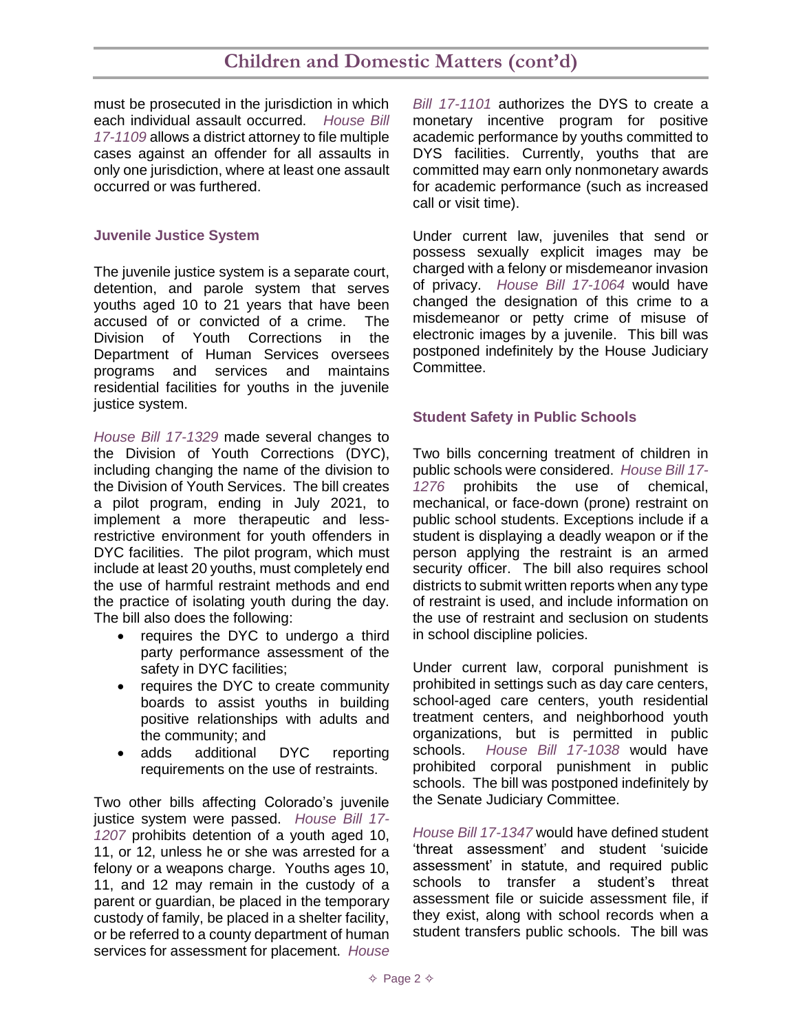# **Children and Domestic Matters (cont'd)**

must be prosecuted in the jurisdiction in which each individual assault occurred. *[House Bill](http://leg.colorado.gov/bills/hb17-1109)  [17-1109](http://leg.colorado.gov/bills/hb17-1109)* allows a district attorney to file multiple cases against an offender for all assaults in only one jurisdiction, where at least one assault occurred or was furthered.

#### **Juvenile Justice System**

The juvenile justice system is a separate court, detention, and parole system that serves youths aged 10 to 21 years that have been accused of or convicted of a crime. The Division of Youth Corrections in the Department of Human Services oversees programs and services and maintains residential facilities for youths in the juvenile justice system.

*[House Bill](http://leg.colorado.gov/bills/hb17-1329) 17-1329* made several changes to the Division of Youth Corrections (DYC), including changing the name of the division to the Division of Youth Services. The bill creates a pilot program, ending in July 2021, to implement a more therapeutic and lessrestrictive environment for youth offenders in DYC facilities. The pilot program, which must include at least 20 youths, must completely end the use of harmful restraint methods and end the practice of isolating youth during the day. The bill also does the following:

- requires the DYC to undergo a third party performance assessment of the safety in DYC facilities;
- requires the DYC to create community boards to assist youths in building positive relationships with adults and the community; and
- adds additional DYC reporting requirements on the use of restraints.

Two other bills affecting Colorado's juvenile justice system were passed. *[House Bill](http://leg.colorado.gov/bills/hb17-1207) 17- [1207](http://leg.colorado.gov/bills/hb17-1207)* prohibits detention of a youth aged 10, 11, or 12, unless he or she was arrested for a felony or a weapons charge. Youths ages 10, 11, and 12 may remain in the custody of a parent or guardian, be placed in the temporary custody of family, be placed in a shelter facility, or be referred to a county department of human services for assessment for placement. *[House](http://leg.colorado.gov/bills/hb17-1101)* 

*Bill [17-1101](http://leg.colorado.gov/bills/hb17-1101)* authorizes the DYS to create a monetary incentive program for positive academic performance by youths committed to DYS facilities. Currently, youths that are committed may earn only nonmonetary awards for academic performance (such as increased call or visit time).

Under current law, juveniles that send or possess sexually explicit images may be charged with a felony or misdemeanor invasion of privacy. *[House Bill](http://leg.colorado.gov/bills/hb17-1064) 17-1064* would have changed the designation of this crime to a misdemeanor or petty crime of misuse of electronic images by a juvenile. This bill was postponed indefinitely by the House Judiciary Committee.

#### **Student Safety in Public Schools**

Two bills concerning treatment of children in public schools were considered. *[House Bill](http://leg.colorado.gov/bills/hb17-1276) 17- [1276](http://leg.colorado.gov/bills/hb17-1276)* prohibits the use of chemical, mechanical, or face-down (prone) restraint on public school students. Exceptions include if a student is displaying a deadly weapon or if the person applying the restraint is an armed security officer. The bill also requires school districts to submit written reports when any type of restraint is used, and include information on the use of restraint and seclusion on students in school discipline policies.

Under current law, corporal punishment is prohibited in settings such as day care centers, school-aged care centers, youth residential treatment centers, and neighborhood youth organizations, but is permitted in public schools. *[House Bill](http://leg.colorado.gov/bills/hb17-1038) 17-1038* would have prohibited corporal punishment in public schools. The bill was postponed indefinitely by the Senate Judiciary Committee.

*[House Bill](http://leg.colorado.gov/bills/hb17-1347) 17-1347* would have defined student 'threat assessment' and student 'suicide assessment' in statute, and required public schools to transfer a student's threat assessment file or suicide assessment file, if they exist, along with school records when a student transfers public schools. The bill was